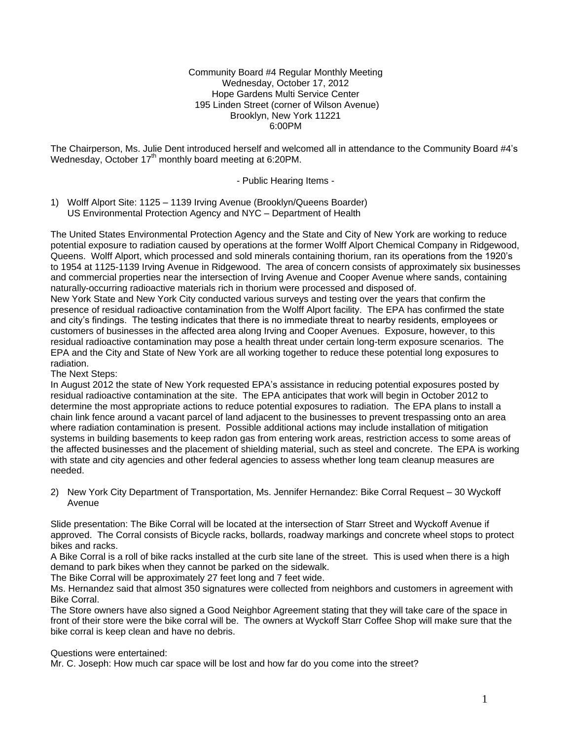Community Board #4 Regular Monthly Meeting Wednesday, October 17, 2012 Hope Gardens Multi Service Center 195 Linden Street (corner of Wilson Avenue) Brooklyn, New York 11221 6:00PM

The Chairperson, Ms. Julie Dent introduced herself and welcomed all in attendance to the Community Board #4's Wednesday, October 17<sup>th</sup> monthly board meeting at 6:20PM.

- Public Hearing Items -

1) Wolff Alport Site: 1125 – 1139 Irving Avenue (Brooklyn/Queens Boarder) US Environmental Protection Agency and NYC – Department of Health

The United States Environmental Protection Agency and the State and City of New York are working to reduce potential exposure to radiation caused by operations at the former Wolff Alport Chemical Company in Ridgewood, Queens. Wolff Alport, which processed and sold minerals containing thorium, ran its operations from the 1920's to 1954 at 1125-1139 Irving Avenue in Ridgewood. The area of concern consists of approximately six businesses and commercial properties near the intersection of Irving Avenue and Cooper Avenue where sands, containing naturally-occurring radioactive materials rich in thorium were processed and disposed of.

New York State and New York City conducted various surveys and testing over the years that confirm the presence of residual radioactive contamination from the Wolff Alport facility. The EPA has confirmed the state and city's findings. The testing indicates that there is no immediate threat to nearby residents, employees or customers of businesses in the affected area along Irving and Cooper Avenues. Exposure, however, to this residual radioactive contamination may pose a health threat under certain long-term exposure scenarios. The EPA and the City and State of New York are all working together to reduce these potential long exposures to radiation.

The Next Steps:

In August 2012 the state of New York requested EPA's assistance in reducing potential exposures posted by residual radioactive contamination at the site. The EPA anticipates that work will begin in October 2012 to determine the most appropriate actions to reduce potential exposures to radiation. The EPA plans to install a chain link fence around a vacant parcel of land adjacent to the businesses to prevent trespassing onto an area where radiation contamination is present. Possible additional actions may include installation of mitigation systems in building basements to keep radon gas from entering work areas, restriction access to some areas of the affected businesses and the placement of shielding material, such as steel and concrete. The EPA is working with state and city agencies and other federal agencies to assess whether long team cleanup measures are needed.

2) New York City Department of Transportation, Ms. Jennifer Hernandez: Bike Corral Request – 30 Wyckoff Avenue

Slide presentation: The Bike Corral will be located at the intersection of Starr Street and Wyckoff Avenue if approved. The Corral consists of Bicycle racks, bollards, roadway markings and concrete wheel stops to protect bikes and racks.

A Bike Corral is a roll of bike racks installed at the curb site lane of the street. This is used when there is a high demand to park bikes when they cannot be parked on the sidewalk.

The Bike Corral will be approximately 27 feet long and 7 feet wide.

Ms. Hernandez said that almost 350 signatures were collected from neighbors and customers in agreement with Bike Corral.

The Store owners have also signed a Good Neighbor Agreement stating that they will take care of the space in front of their store were the bike corral will be. The owners at Wyckoff Starr Coffee Shop will make sure that the bike corral is keep clean and have no debris.

# Questions were entertained:

Mr. C. Joseph: How much car space will be lost and how far do you come into the street?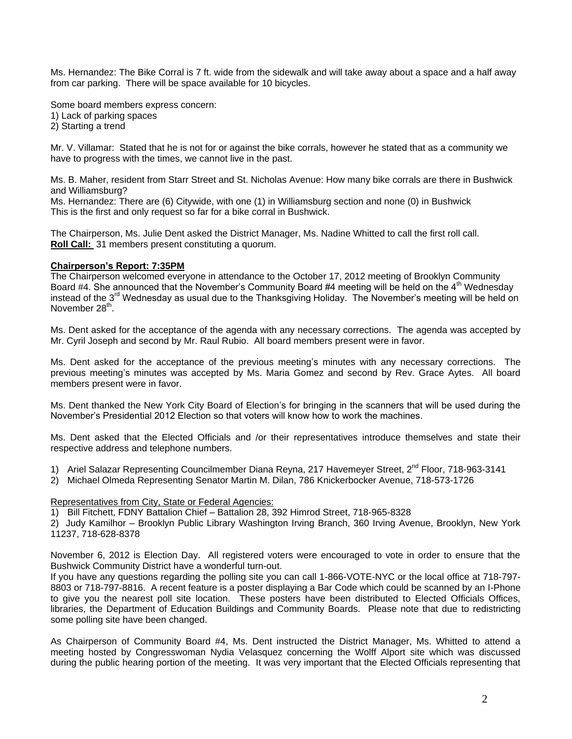Ms. Hernandez: The Bike Corral is 7 ft. wide from the sidewalk and will take away about a space and a half away from car parking. There will be space available for 10 bicycles.

Some board members express concern:

1) Lack of parking spaces

2) Starting a trend

Mr. V. Villamar: Stated that he is not for or against the bike corrals, however he stated that as a community we have to progress with the times, we cannot live in the past.

Ms. B. Maher, resident from Starr Street and St. Nicholas Avenue: How many bike corrals are there in Bushwick and Williamsburg?

Ms. Hernandez: There are (6) Citywide, with one (1) in Williamsburg section and none (0) in Bushwick This is the first and only request so far for a bike corral in Bushwick.

The Chairperson, Ms. Julie Dent asked the District Manager, Ms. Nadine Whitted to call the first roll call. **Roll Call:** 31 members present constituting a quorum.

#### **Chairperson's Report: 7:35PM**

The Chairperson welcomed everyone in attendance to the October 17, 2012 meeting of Brooklyn Community Board #4. She announced that the November's Community Board #4 meeting will be held on the 4<sup>th</sup> Wednesday instead of the 3<sup>rd</sup> Wednesday as usual due to the Thanksgiving Holiday. The November's meeting will be held on November 28<sup>th</sup>.

Ms. Dent asked for the acceptance of the agenda with any necessary corrections. The agenda was accepted by Mr. Cyril Joseph and second by Mr. Raul Rubio. All board members present were in favor.

Ms. Dent asked for the acceptance of the previous meeting's minutes with any necessary corrections. The previous meeting's minutes was accepted by Ms. Maria Gomez and second by Rev. Grace Aytes. All board members present were in favor.

Ms. Dent thanked the New York City Board of Election's for bringing in the scanners that will be used during the November's Presidential 2012 Election so that voters will know how to work the machines.

Ms. Dent asked that the Elected Officials and /or their representatives introduce themselves and state their respective address and telephone numbers.

- 1) Ariel Salazar Representing Councilmember Diana Reyna, 217 Havemeyer Street, 2<sup>nd</sup> Floor, 718-963-3141
- 2) Michael Olmeda Representing Senator Martin M. Dilan, 786 Knickerbocker Avenue, 718-573-1726

#### Representatives from City, State or Federal Agencies:

1) Bill Fitchett, FDNY Battalion Chief – Battalion 28, 392 Himrod Street, 718-965-8328

2) Judy Kamilhor – Brooklyn Public Library Washington Irving Branch, 360 Irving Avenue, Brooklyn, New York 11237, 718-628-8378

November 6, 2012 is Election Day. All registered voters were encouraged to vote in order to ensure that the Bushwick Community District have a wonderful turn-out.

If you have any questions regarding the polling site you can call 1-866-VOTE-NYC or the local office at 718-797- 8803 or 718-797-8816. A recent feature is a poster displaying a Bar Code which could be scanned by an I-Phone to give you the nearest poll site location. These posters have been distributed to Elected Officials Offices, libraries, the Department of Education Buildings and Community Boards. Please note that due to redistricting some polling site have been changed.

As Chairperson of Community Board #4, Ms. Dent instructed the District Manager, Ms. Whitted to attend a meeting hosted by Congresswoman Nydia Velasquez concerning the Wolff Alport site which was discussed during the public hearing portion of the meeting. It was very important that the Elected Officials representing that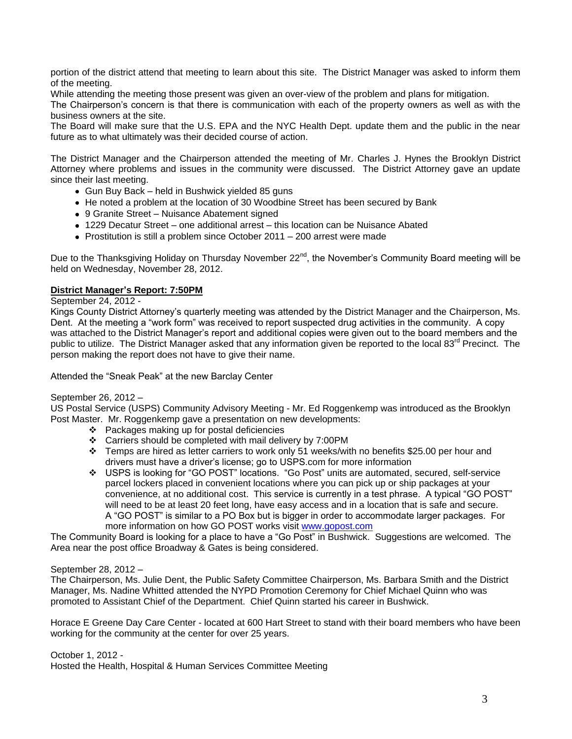portion of the district attend that meeting to learn about this site. The District Manager was asked to inform them of the meeting.

While attending the meeting those present was given an over-view of the problem and plans for mitigation.

The Chairperson's concern is that there is communication with each of the property owners as well as with the business owners at the site.

The Board will make sure that the U.S. EPA and the NYC Health Dept. update them and the public in the near future as to what ultimately was their decided course of action.

The District Manager and the Chairperson attended the meeting of Mr. Charles J. Hynes the Brooklyn District Attorney where problems and issues in the community were discussed. The District Attorney gave an update since their last meeting.

- Gun Buy Back held in Bushwick yielded 85 guns
- He noted a problem at the location of 30 Woodbine Street has been secured by Bank
- 9 Granite Street Nuisance Abatement signed
- 1229 Decatur Street one additional arrest this location can be Nuisance Abated
- Prostitution is still a problem since October 2011 200 arrest were made

Due to the Thanksgiving Holiday on Thursday November 22<sup>nd</sup>, the November's Community Board meeting will be held on Wednesday, November 28, 2012.

## **District Manager's Report: 7:50PM**

September 24, 2012 -

Kings County District Attorney's quarterly meeting was attended by the District Manager and the Chairperson, Ms. Dent. At the meeting a "work form" was received to report suspected drug activities in the community. A copy was attached to the District Manager's report and additional copies were given out to the board members and the public to utilize. The District Manager asked that any information given be reported to the local 83<sup>rd</sup> Precinct. The person making the report does not have to give their name.

Attended the "Sneak Peak" at the new Barclay Center

## September 26, 2012 –

US Postal Service (USPS) Community Advisory Meeting - Mr. Ed Roggenkemp was introduced as the Brooklyn Post Master. Mr. Roggenkemp gave a presentation on new developments:

- $\div$  Packages making up for postal deficiencies
- Carriers should be completed with mail delivery by 7:00PM
- $\div$  Temps are hired as letter carriers to work only 51 weeks/with no benefits \$25.00 per hour and drivers must have a driver's license; go to USPS.com for more information
- USPS is looking for "GO POST" locations. "Go Post" units are automated, secured, self-service parcel lockers placed in convenient locations where you can pick up or ship packages at your convenience, at no additional cost. This service is currently in a test phrase. A typical "GO POST" will need to be at least 20 feet long, have easy access and in a location that is safe and secure. A "GO POST" is similar to a PO Box but is bigger in order to accommodate larger packages. For more information on how GO POST works visit [www.gopost.com](http://www.gopost.com/)

The Community Board is looking for a place to have a "Go Post" in Bushwick. Suggestions are welcomed. The Area near the post office Broadway & Gates is being considered.

#### September 28, 2012 –

The Chairperson, Ms. Julie Dent, the Public Safety Committee Chairperson, Ms. Barbara Smith and the District Manager, Ms. Nadine Whitted attended the NYPD Promotion Ceremony for Chief Michael Quinn who was promoted to Assistant Chief of the Department. Chief Quinn started his career in Bushwick.

Horace E Greene Day Care Center - located at 600 Hart Street to stand with their board members who have been working for the community at the center for over 25 years.

October 1, 2012 -

Hosted the Health, Hospital & Human Services Committee Meeting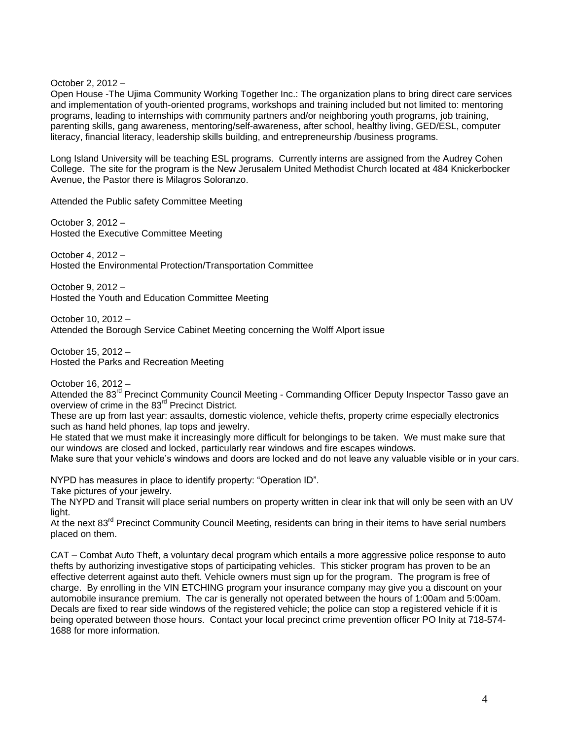October 2, 2012 –

Open House -The Ujima Community Working Together Inc.: The organization plans to bring direct care services and implementation of youth-oriented programs, workshops and training included but not limited to: mentoring programs, leading to internships with community partners and/or neighboring youth programs, job training, parenting skills, gang awareness, mentoring/self-awareness, after school, healthy living, GED/ESL, computer literacy, financial literacy, leadership skills building, and entrepreneurship /business programs.

Long Island University will be teaching ESL programs. Currently interns are assigned from the Audrey Cohen College. The site for the program is the New Jerusalem United Methodist Church located at 484 Knickerbocker Avenue, the Pastor there is Milagros Soloranzo.

Attended the Public safety Committee Meeting

October 3, 2012 – Hosted the Executive Committee Meeting

October 4, 2012 – Hosted the Environmental Protection/Transportation Committee

October 9, 2012 – Hosted the Youth and Education Committee Meeting

October 10, 2012 – Attended the Borough Service Cabinet Meeting concerning the Wolff Alport issue

October 15, 2012 – Hosted the Parks and Recreation Meeting

October 16, 2012 –

Attended the 83<sup>rd</sup> Precinct Community Council Meeting - Commanding Officer Deputy Inspector Tasso gave an overview of crime in the 83<sup>rd</sup> Precinct District.

These are up from last year: assaults, domestic violence, vehicle thefts, property crime especially electronics such as hand held phones, lap tops and jewelry.

He stated that we must make it increasingly more difficult for belongings to be taken. We must make sure that our windows are closed and locked, particularly rear windows and fire escapes windows.

Make sure that your vehicle's windows and doors are locked and do not leave any valuable visible or in your cars.

NYPD has measures in place to identify property: "Operation ID".

Take pictures of your jewelry.

The NYPD and Transit will place serial numbers on property written in clear ink that will only be seen with an UV light.

At the next 83<sup>rd</sup> Precinct Community Council Meeting, residents can bring in their items to have serial numbers placed on them.

CAT – Combat Auto Theft, a voluntary decal program which entails a more aggressive police response to auto thefts by authorizing investigative stops of participating vehicles. This sticker program has proven to be an effective deterrent against auto theft. Vehicle owners must sign up for the program. The program is free of charge. By enrolling in the VIN ETCHING program your insurance company may give you a discount on your automobile insurance premium. The car is generally not operated between the hours of 1:00am and 5:00am. Decals are fixed to rear side windows of the registered vehicle; the police can stop a registered vehicle if it is being operated between those hours. Contact your local precinct crime prevention officer PO Inity at 718-574- 1688 for more information.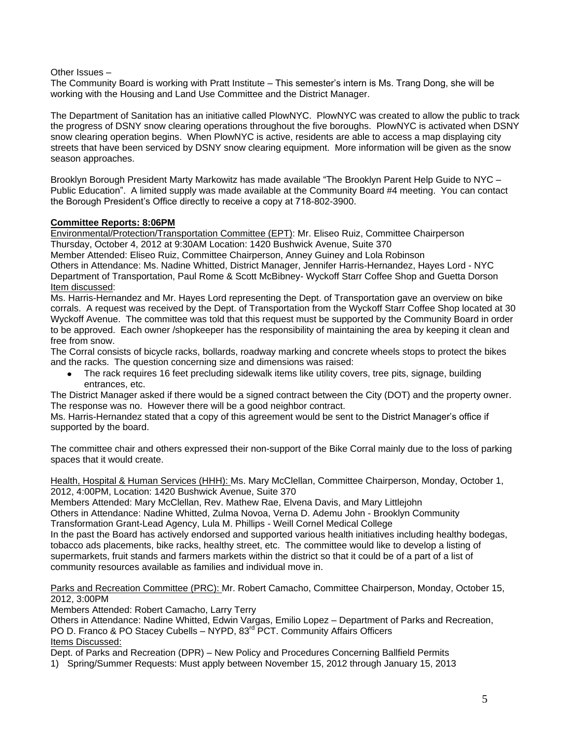Other Issues –

The Community Board is working with Pratt Institute – This semester's intern is Ms. Trang Dong, she will be working with the Housing and Land Use Committee and the District Manager.

The Department of Sanitation has an initiative called PlowNYC. PlowNYC was created to allow the public to track the progress of DSNY snow clearing operations throughout the five boroughs. PlowNYC is activated when DSNY snow clearing operation begins. When PlowNYC is active, residents are able to access a map displaying city streets that have been serviced by DSNY snow clearing equipment. More information will be given as the snow season approaches.

Brooklyn Borough President Marty Markowitz has made available "The Brooklyn Parent Help Guide to NYC – Public Education". A limited supply was made available at the Community Board #4 meeting. You can contact the Borough President's Office directly to receive a copy at 718-802-3900.

# **Committee Reports: 8:06PM**

Environmental/Protection/Transportation Committee (EPT): Mr. Eliseo Ruiz, Committee Chairperson Thursday, October 4, 2012 at 9:30AM Location: 1420 Bushwick Avenue, Suite 370

Member Attended: Eliseo Ruiz, Committee Chairperson, Anney Guiney and Lola Robinson

Others in Attendance: Ms. Nadine Whitted, District Manager, Jennifer Harris-Hernandez, Hayes Lord - NYC Department of Transportation, Paul Rome & Scott McBibney- Wyckoff Starr Coffee Shop and Guetta Dorson Item discussed:

Ms. Harris-Hernandez and Mr. Hayes Lord representing the Dept. of Transportation gave an overview on bike corrals. A request was received by the Dept. of Transportation from the Wyckoff Starr Coffee Shop located at 30 Wyckoff Avenue. The committee was told that this request must be supported by the Community Board in order to be approved. Each owner /shopkeeper has the responsibility of maintaining the area by keeping it clean and free from snow.

The Corral consists of bicycle racks, bollards, roadway marking and concrete wheels stops to protect the bikes and the racks. The question concerning size and dimensions was raised:

The rack requires 16 feet precluding sidewalk items like utility covers, tree pits, signage, building entrances, etc.

The District Manager asked if there would be a signed contract between the City (DOT) and the property owner. The response was no. However there will be a good neighbor contract.

Ms. Harris-Hernandez stated that a copy of this agreement would be sent to the District Manager's office if supported by the board.

The committee chair and others expressed their non-support of the Bike Corral mainly due to the loss of parking spaces that it would create.

Health, Hospital & Human Services (HHH): Ms. Mary McClellan, Committee Chairperson, Monday, October 1, 2012, 4:00PM, Location: 1420 Bushwick Avenue, Suite 370

Members Attended: Mary McClellan, Rev. Mathew Rae, Elvena Davis, and Mary Littlejohn

Others in Attendance: Nadine Whitted, Zulma Novoa, Verna D. Ademu John - Brooklyn Community Transformation Grant-Lead Agency, Lula M. Phillips - Weill Cornel Medical College

In the past the Board has actively endorsed and supported various health initiatives including healthy bodegas, tobacco ads placements, bike racks, healthy street, etc. The committee would like to develop a listing of supermarkets, fruit stands and farmers markets within the district so that it could be of a part of a list of community resources available as families and individual move in.

Parks and Recreation Committee (PRC): Mr. Robert Camacho, Committee Chairperson, Monday, October 15, 2012, 3:00PM

Members Attended: Robert Camacho, Larry Terry

Others in Attendance: Nadine Whitted, Edwin Vargas, Emilio Lopez – Department of Parks and Recreation, PO D. Franco & PO Stacey Cubells - NYPD, 83<sup>rd</sup> PCT. Community Affairs Officers Items Discussed:

Dept. of Parks and Recreation (DPR) – New Policy and Procedures Concerning Ballfield Permits

1) Spring/Summer Requests: Must apply between November 15, 2012 through January 15, 2013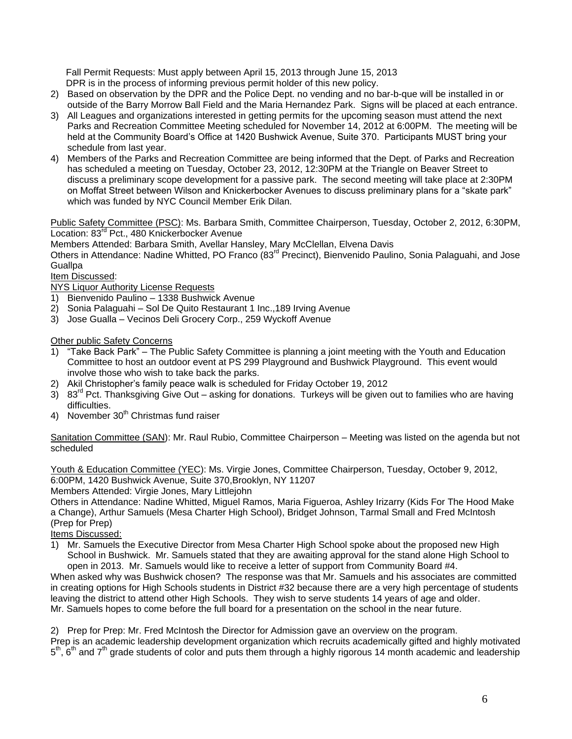Fall Permit Requests: Must apply between April 15, 2013 through June 15, 2013 DPR is in the process of informing previous permit holder of this new policy.

- 2) Based on observation by the DPR and the Police Dept. no vending and no bar-b-que will be installed in or outside of the Barry Morrow Ball Field and the Maria Hernandez Park. Signs will be placed at each entrance.
- 3) All Leagues and organizations interested in getting permits for the upcoming season must attend the next Parks and Recreation Committee Meeting scheduled for November 14, 2012 at 6:00PM. The meeting will be held at the Community Board's Office at 1420 Bushwick Avenue, Suite 370. Participants MUST bring your schedule from last year.
- 4) Members of the Parks and Recreation Committee are being informed that the Dept. of Parks and Recreation has scheduled a meeting on Tuesday, October 23, 2012, 12:30PM at the Triangle on Beaver Street to discuss a preliminary scope development for a passive park. The second meeting will take place at 2:30PM on Moffat Street between Wilson and Knickerbocker Avenues to discuss preliminary plans for a "skate park" which was funded by NYC Council Member Erik Dilan.

Public Safety Committee (PSC): Ms. Barbara Smith, Committee Chairperson, Tuesday, October 2, 2012, 6:30PM, Location: 83<sup>rd</sup> Pct., 480 Knickerbocker Avenue

Members Attended: Barbara Smith, Avellar Hansley, Mary McClellan, Elvena Davis

Others in Attendance: Nadine Whitted, PO Franco (83<sup>rd</sup> Precinct), Bienvenido Paulino, Sonia Palaguahi, and Jose **Guallpa** 

Item Discussed:

NYS Liquor Authority License Requests

- 1) Bienvenido Paulino 1338 Bushwick Avenue
- 2) Sonia Palaguahi Sol De Quito Restaurant 1 Inc.,189 Irving Avenue
- 3) Jose Gualla Vecinos Deli Grocery Corp., 259 Wyckoff Avenue

Other public Safety Concerns

- 1) "Take Back Park" The Public Safety Committee is planning a joint meeting with the Youth and Education Committee to host an outdoor event at PS 299 Playground and Bushwick Playground. This event would involve those who wish to take back the parks.
- 2) Akil Christopher's family peace walk is scheduled for Friday October 19, 2012
- 3)  $83<sup>rd</sup>$  Pct. Thanksgiving Give Out asking for donations. Turkeys will be given out to families who are having difficulties.
- 4) November  $30<sup>th</sup>$  Christmas fund raiser

Sanitation Committee (SAN): Mr. Raul Rubio, Committee Chairperson – Meeting was listed on the agenda but not scheduled

Youth & Education Committee (YEC): Ms. Virgie Jones, Committee Chairperson, Tuesday, October 9, 2012, 6:00PM, 1420 Bushwick Avenue, Suite 370,Brooklyn, NY 11207

Members Attended: Virgie Jones, Mary Littlejohn

Others in Attendance: Nadine Whitted, Miguel Ramos, Maria Figueroa, Ashley Irizarry (Kids For The Hood Make a Change), Arthur Samuels (Mesa Charter High School), Bridget Johnson, Tarmal Small and Fred McIntosh (Prep for Prep)

Items Discussed:

1) Mr. Samuels the Executive Director from Mesa Charter High School spoke about the proposed new High School in Bushwick. Mr. Samuels stated that they are awaiting approval for the stand alone High School to open in 2013. Mr. Samuels would like to receive a letter of support from Community Board #4.

When asked why was Bushwick chosen? The response was that Mr. Samuels and his associates are committed in creating options for High Schools students in District #32 because there are a very high percentage of students leaving the district to attend other High Schools. They wish to serve students 14 years of age and older. Mr. Samuels hopes to come before the full board for a presentation on the school in the near future.

2) Prep for Prep: Mr. Fred McIntosh the Director for Admission gave an overview on the program. Prep is an academic leadership development organization which recruits academically gifted and highly motivated 5<sup>th</sup>, 6<sup>th</sup> and 7<sup>th</sup> grade students of color and puts them through a highly rigorous 14 month academic and leadership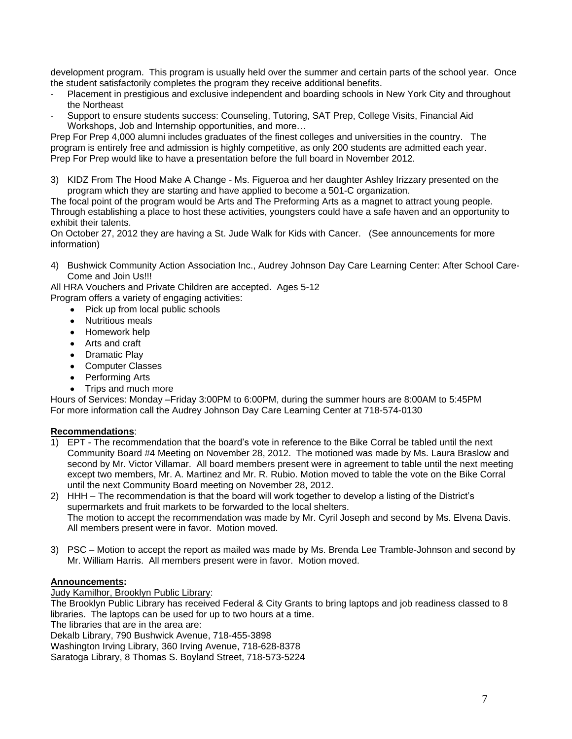development program. This program is usually held over the summer and certain parts of the school year. Once the student satisfactorily completes the program they receive additional benefits.

- Placement in prestigious and exclusive independent and boarding schools in New York City and throughout the Northeast
- Support to ensure students success: Counseling, Tutoring, SAT Prep, College Visits, Financial Aid Workshops, Job and Internship opportunities, and more…

Prep For Prep 4,000 alumni includes graduates of the finest colleges and universities in the country. The program is entirely free and admission is highly competitive, as only 200 students are admitted each year. Prep For Prep would like to have a presentation before the full board in November 2012.

3) KIDZ From The Hood Make A Change - Ms. Figueroa and her daughter Ashley Irizzary presented on the program which they are starting and have applied to become a 501-C organization.

The focal point of the program would be Arts and The Preforming Arts as a magnet to attract young people. Through establishing a place to host these activities, youngsters could have a safe haven and an opportunity to exhibit their talents.

On October 27, 2012 they are having a St. Jude Walk for Kids with Cancer. (See announcements for more information)

4) Bushwick Community Action Association Inc., Audrey Johnson Day Care Learning Center: After School Care-Come and Join Us!!!

All HRA Vouchers and Private Children are accepted. Ages 5-12 Program offers a variety of engaging activities:

- Pick up from local public schools
- Nutritious meals
- Homework help
- Arts and craft
- Dramatic Play
- Computer Classes
- Performing Arts
- Trips and much more

Hours of Services: Monday –Friday 3:00PM to 6:00PM, during the summer hours are 8:00AM to 5:45PM For more information call the Audrey Johnson Day Care Learning Center at 718-574-0130

# **Recommendations**:

 $\overline{1}$ ) EPT - The recommendation that the board's vote in reference to the Bike Corral be tabled until the next Community Board #4 Meeting on November 28, 2012. The motioned was made by Ms. Laura Braslow and second by Mr. Victor Villamar. All board members present were in agreement to table until the next meeting except two members, Mr. A. Martinez and Mr. R. Rubio. Motion moved to table the vote on the Bike Corral until the next Community Board meeting on November 28, 2012.

2) HHH – The recommendation is that the board will work together to develop a listing of the District's supermarkets and fruit markets to be forwarded to the local shelters. The motion to accept the recommendation was made by Mr. Cyril Joseph and second by Ms. Elvena Davis. All members present were in favor. Motion moved.

3) PSC – Motion to accept the report as mailed was made by Ms. Brenda Lee Tramble-Johnson and second by Mr. William Harris. All members present were in favor. Motion moved.

# **Announcements:**

# Judy Kamilhor, Brooklyn Public Library:

The Brooklyn Public Library has received Federal & City Grants to bring laptops and job readiness classed to 8 libraries. The laptops can be used for up to two hours at a time.

The libraries that are in the area are:

Dekalb Library, 790 Bushwick Avenue, 718-455-3898

Washington Irving Library, 360 Irving Avenue, 718-628-8378

Saratoga Library, 8 Thomas S. Boyland Street, 718-573-5224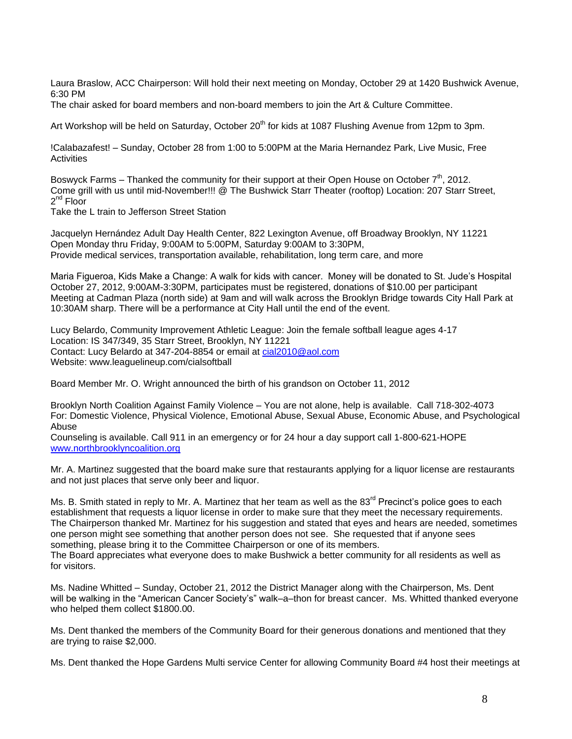Laura Braslow, ACC Chairperson: Will hold their next meeting on Monday, October 29 at 1420 Bushwick Avenue, 6:30 PM

The chair asked for board members and non-board members to join the Art & Culture Committee.

Art Workshop will be held on Saturday, October 20<sup>th</sup> for kids at 1087 Flushing Avenue from 12pm to 3pm.

!Calabazafest! – Sunday, October 28 from 1:00 to 5:00PM at the Maria Hernandez Park, Live Music, Free **Activities** 

Boswyck Farms – Thanked the community for their support at their Open House on October  $7<sup>th</sup>$ , 2012. Come grill with us until mid-November!!! @ The Bushwick Starr Theater (rooftop) Location: 207 Starr Street, 2<sup>nd</sup> Floor

Take the L train to Jefferson Street Station

Jacquelyn Hernández Adult Day Health Center, 822 Lexington Avenue, off Broadway Brooklyn, NY 11221 Open Monday thru Friday, 9:00AM to 5:00PM, Saturday 9:00AM to 3:30PM, Provide medical services, transportation available, rehabilitation, long term care, and more

Maria Figueroa, Kids Make a Change: A walk for kids with cancer. Money will be donated to St. Jude's Hospital October 27, 2012, 9:00AM-3:30PM, participates must be registered, donations of \$10.00 per participant Meeting at Cadman Plaza (north side) at 9am and will walk across the Brooklyn Bridge towards City Hall Park at 10:30AM sharp. There will be a performance at City Hall until the end of the event.

Lucy Belardo, Community Improvement Athletic League: Join the female softball league ages 4-17 Location: IS 347/349, 35 Starr Street, Brooklyn, NY 11221 Contact: Lucy Belardo at 347-204-8854 or email at [cial2010@aol.com](mailto:cial2010@aol.com) Website: www.leaguelineup.com/cialsoftball

Board Member Mr. O. Wright announced the birth of his grandson on October 11, 2012

Brooklyn North Coalition Against Family Violence – You are not alone, help is available. Call 718-302-4073 For: Domestic Violence, Physical Violence, Emotional Abuse, Sexual Abuse, Economic Abuse, and Psychological Abuse

Counseling is available. Call 911 in an emergency or for 24 hour a day support call 1-800-621-HOPE [www.northbrooklyncoalition.org](http://www.northbrooklyncoalition.org/) 

Mr. A. Martinez suggested that the board make sure that restaurants applying for a liquor license are restaurants and not just places that serve only beer and liquor.

Ms. B. Smith stated in reply to Mr. A. Martinez that her team as well as the 83<sup>rd</sup> Precinct's police goes to each establishment that requests a liquor license in order to make sure that they meet the necessary requirements. The Chairperson thanked Mr. Martinez for his suggestion and stated that eyes and hears are needed, sometimes one person might see something that another person does not see. She requested that if anyone sees something, please bring it to the Committee Chairperson or one of its members. The Board appreciates what everyone does to make Bushwick a better community for all residents as well as for visitors.

Ms. Nadine Whitted – Sunday, October 21, 2012 the District Manager along with the Chairperson, Ms. Dent will be walking in the "American Cancer Society's" walk–a–thon for breast cancer. Ms. Whitted thanked everyone who helped them collect \$1800.00.

Ms. Dent thanked the members of the Community Board for their generous donations and mentioned that they are trying to raise \$2,000.

Ms. Dent thanked the Hope Gardens Multi service Center for allowing Community Board #4 host their meetings at